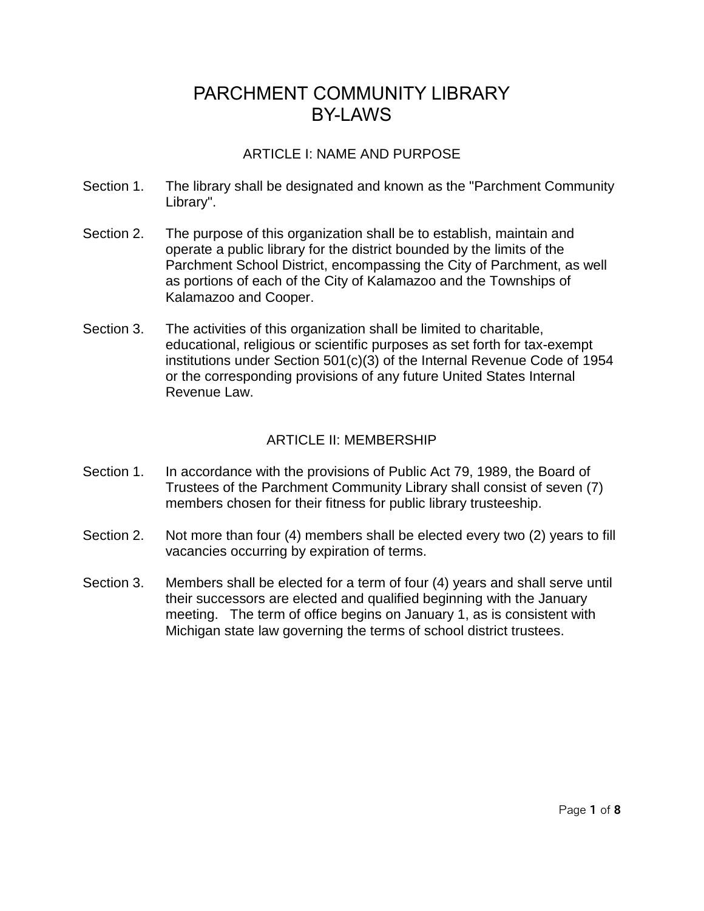### ARTICLE I: NAME AND PURPOSE

- Section 1. The library shall be designated and known as the "Parchment Community Library".
- Section 2. The purpose of this organization shall be to establish, maintain and operate a public library for the district bounded by the limits of the Parchment School District, encompassing the City of Parchment, as well as portions of each of the City of Kalamazoo and the Townships of Kalamazoo and Cooper.
- Section 3. The activities of this organization shall be limited to charitable, educational, religious or scientific purposes as set forth for tax-exempt institutions under Section 501(c)(3) of the Internal Revenue Code of 1954 or the corresponding provisions of any future United States Internal Revenue Law.

### ARTICLE II: MEMBERSHIP

- Section 1. In accordance with the provisions of Public Act 79, 1989, the Board of Trustees of the Parchment Community Library shall consist of seven (7) members chosen for their fitness for public library trusteeship.
- Section 2. Not more than four (4) members shall be elected every two (2) years to fill vacancies occurring by expiration of terms.
- Section 3. Members shall be elected for a term of four (4) years and shall serve until their successors are elected and qualified beginning with the January meeting. The term of office begins on January 1, as is consistent with Michigan state law governing the terms of school district trustees.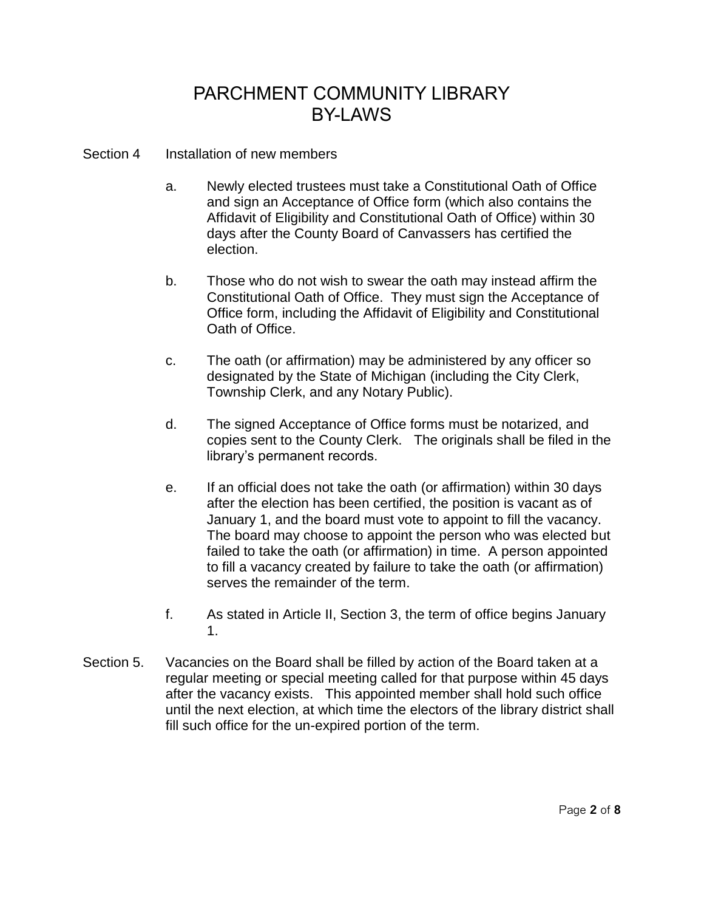- Section 4 Installation of new members
	- a. Newly elected trustees must take a Constitutional Oath of Office and sign an Acceptance of Office form (which also contains the Affidavit of Eligibility and Constitutional Oath of Office) within 30 days after the County Board of Canvassers has certified the election.
	- b. Those who do not wish to swear the oath may instead affirm the Constitutional Oath of Office. They must sign the Acceptance of Office form, including the Affidavit of Eligibility and Constitutional Oath of Office.
	- c. The oath (or affirmation) may be administered by any officer so designated by the State of Michigan (including the City Clerk, Township Clerk, and any Notary Public).
	- d. The signed Acceptance of Office forms must be notarized, and copies sent to the County Clerk. The originals shall be filed in the library's permanent records.
	- e. If an official does not take the oath (or affirmation) within 30 days after the election has been certified, the position is vacant as of January 1, and the board must vote to appoint to fill the vacancy. The board may choose to appoint the person who was elected but failed to take the oath (or affirmation) in time. A person appointed to fill a vacancy created by failure to take the oath (or affirmation) serves the remainder of the term.
	- f. As stated in Article II, Section 3, the term of office begins January 1.
- Section 5. Vacancies on the Board shall be filled by action of the Board taken at a regular meeting or special meeting called for that purpose within 45 days after the vacancy exists. This appointed member shall hold such office until the next election, at which time the electors of the library district shall fill such office for the un-expired portion of the term.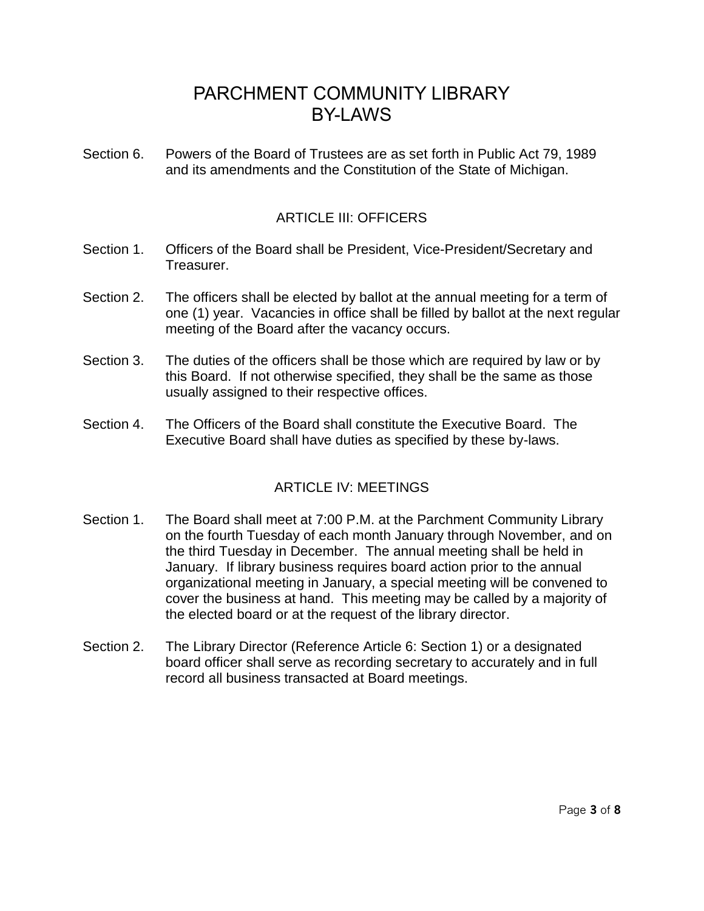Section 6. Powers of the Board of Trustees are as set forth in Public Act 79, 1989 and its amendments and the Constitution of the State of Michigan.

### ARTICLE III: OFFICERS

- Section 1. Officers of the Board shall be President, Vice-President/Secretary and Treasurer.
- Section 2. The officers shall be elected by ballot at the annual meeting for a term of one (1) year. Vacancies in office shall be filled by ballot at the next regular meeting of the Board after the vacancy occurs.
- Section 3. The duties of the officers shall be those which are required by law or by this Board. If not otherwise specified, they shall be the same as those usually assigned to their respective offices.
- Section 4. The Officers of the Board shall constitute the Executive Board. The Executive Board shall have duties as specified by these by-laws.

### ARTICLE IV: MEETINGS

- Section 1. The Board shall meet at 7:00 P.M. at the Parchment Community Library on the fourth Tuesday of each month January through November, and on the third Tuesday in December. The annual meeting shall be held in January. If library business requires board action prior to the annual organizational meeting in January, a special meeting will be convened to cover the business at hand. This meeting may be called by a majority of the elected board or at the request of the library director.
- Section 2. The Library Director (Reference Article 6: Section 1) or a designated board officer shall serve as recording secretary to accurately and in full record all business transacted at Board meetings.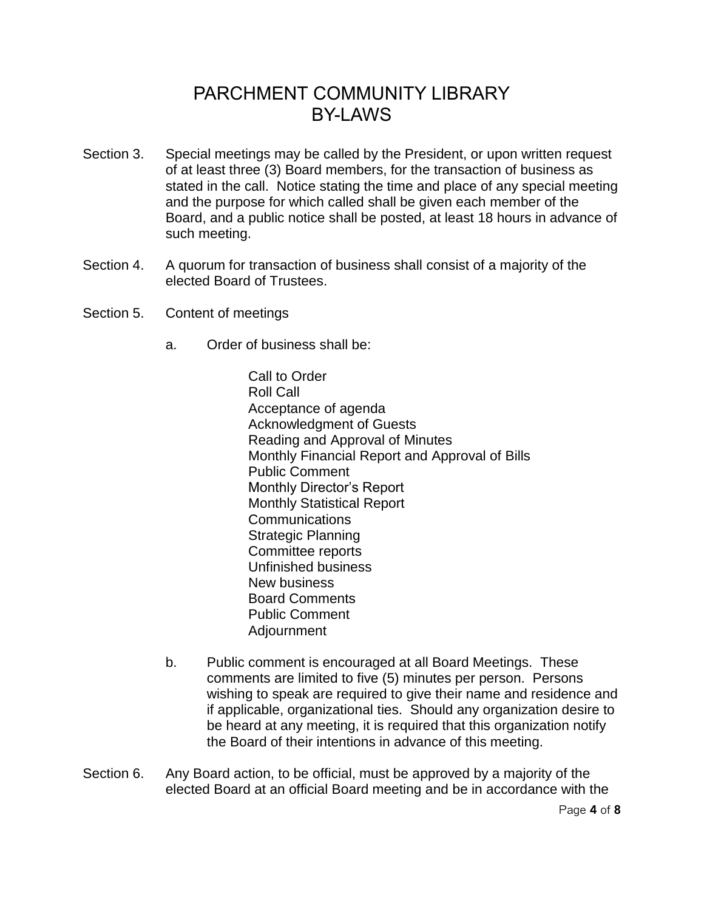- Section 3. Special meetings may be called by the President, or upon written request of at least three (3) Board members, for the transaction of business as stated in the call. Notice stating the time and place of any special meeting and the purpose for which called shall be given each member of the Board, and a public notice shall be posted, at least 18 hours in advance of such meeting.
- Section 4. A quorum for transaction of business shall consist of a majority of the elected Board of Trustees.
- Section 5. Content of meetings
	- a. Order of business shall be:

Call to Order Roll Call Acceptance of agenda Acknowledgment of Guests Reading and Approval of Minutes Monthly Financial Report and Approval of Bills Public Comment Monthly Director's Report Monthly Statistical Report **Communications** Strategic Planning Committee reports Unfinished business New business Board Comments Public Comment Adjournment

- b. Public comment is encouraged at all Board Meetings. These comments are limited to five (5) minutes per person. Persons wishing to speak are required to give their name and residence and if applicable, organizational ties. Should any organization desire to be heard at any meeting, it is required that this organization notify the Board of their intentions in advance of this meeting.
- Section 6. Any Board action, to be official, must be approved by a majority of the elected Board at an official Board meeting and be in accordance with the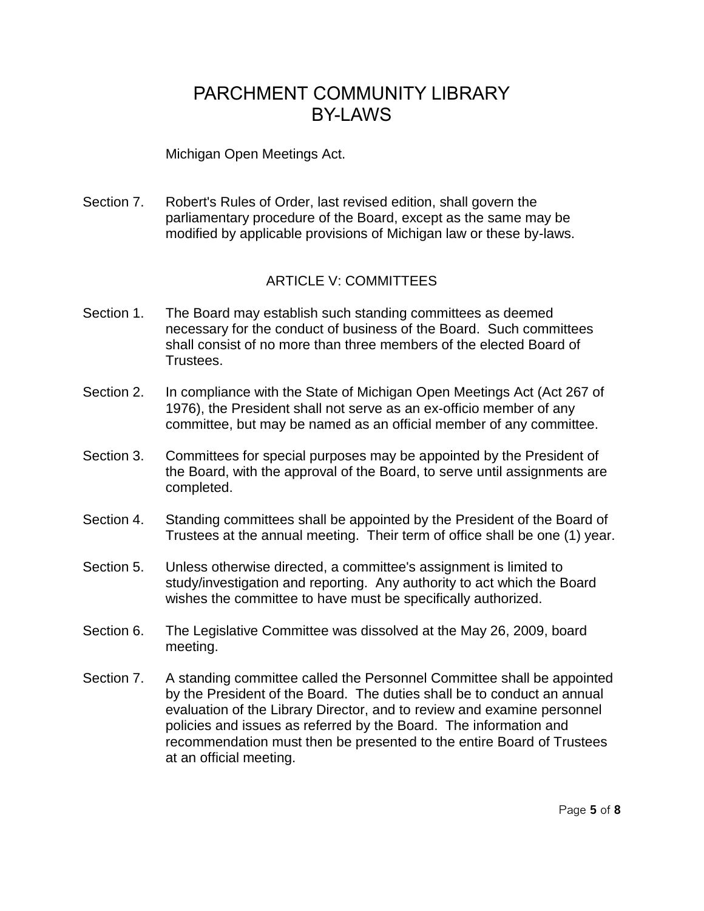#### Michigan Open Meetings Act.

Section 7. Robert's Rules of Order, last revised edition, shall govern the parliamentary procedure of the Board, except as the same may be modified by applicable provisions of Michigan law or these by-laws.

#### ARTICLE V: COMMITTEES

- Section 1. The Board may establish such standing committees as deemed necessary for the conduct of business of the Board. Such committees shall consist of no more than three members of the elected Board of Trustees.
- Section 2. In compliance with the State of Michigan Open Meetings Act (Act 267 of 1976), the President shall not serve as an ex-officio member of any committee, but may be named as an official member of any committee.
- Section 3. Committees for special purposes may be appointed by the President of the Board, with the approval of the Board, to serve until assignments are completed.
- Section 4. Standing committees shall be appointed by the President of the Board of Trustees at the annual meeting. Their term of office shall be one (1) year.
- Section 5. Unless otherwise directed, a committee's assignment is limited to study/investigation and reporting. Any authority to act which the Board wishes the committee to have must be specifically authorized.
- Section 6. The Legislative Committee was dissolved at the May 26, 2009, board meeting.
- Section 7. A standing committee called the Personnel Committee shall be appointed by the President of the Board. The duties shall be to conduct an annual evaluation of the Library Director, and to review and examine personnel policies and issues as referred by the Board. The information and recommendation must then be presented to the entire Board of Trustees at an official meeting.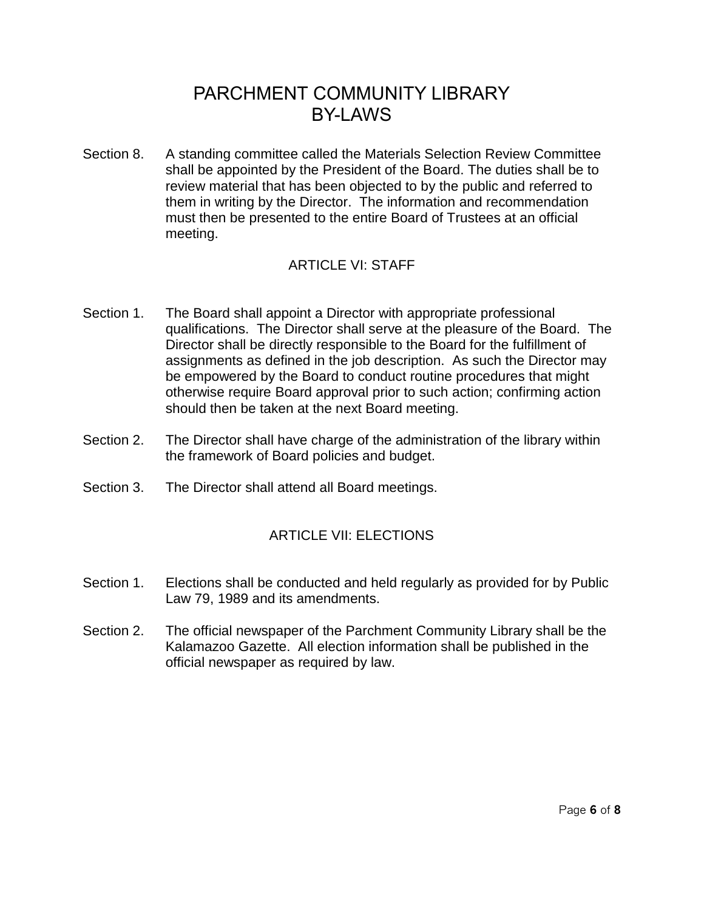Section 8. A standing committee called the Materials Selection Review Committee shall be appointed by the President of the Board. The duties shall be to review material that has been objected to by the public and referred to them in writing by the Director. The information and recommendation must then be presented to the entire Board of Trustees at an official meeting.

### ARTICLE VI: STAFF

- Section 1. The Board shall appoint a Director with appropriate professional qualifications. The Director shall serve at the pleasure of the Board. The Director shall be directly responsible to the Board for the fulfillment of assignments as defined in the job description. As such the Director may be empowered by the Board to conduct routine procedures that might otherwise require Board approval prior to such action; confirming action should then be taken at the next Board meeting.
- Section 2. The Director shall have charge of the administration of the library within the framework of Board policies and budget.
- Section 3. The Director shall attend all Board meetings.

### ARTICLE VII: ELECTIONS

- Section 1. Elections shall be conducted and held regularly as provided for by Public Law 79, 1989 and its amendments.
- Section 2. The official newspaper of the Parchment Community Library shall be the Kalamazoo Gazette. All election information shall be published in the official newspaper as required by law.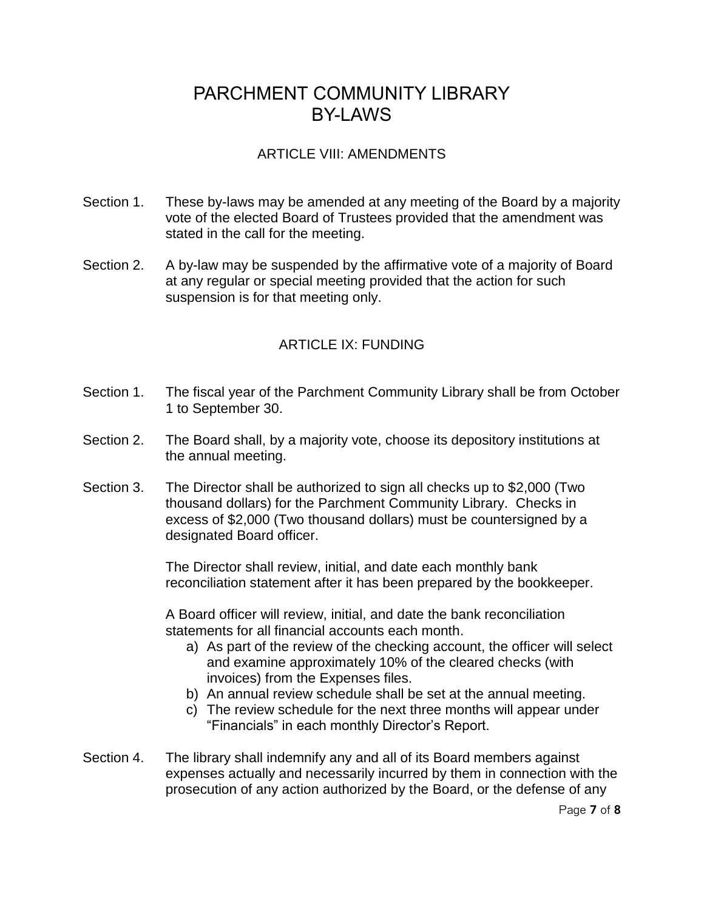### ARTICLE VIII: AMENDMENTS

- Section 1. These by-laws may be amended at any meeting of the Board by a majority vote of the elected Board of Trustees provided that the amendment was stated in the call for the meeting.
- Section 2. A by-law may be suspended by the affirmative vote of a majority of Board at any regular or special meeting provided that the action for such suspension is for that meeting only.

### ARTICLE IX: FUNDING

- Section 1. The fiscal year of the Parchment Community Library shall be from October 1 to September 30.
- Section 2. The Board shall, by a majority vote, choose its depository institutions at the annual meeting.
- Section 3. The Director shall be authorized to sign all checks up to \$2,000 (Two thousand dollars) for the Parchment Community Library. Checks in excess of \$2,000 (Two thousand dollars) must be countersigned by a designated Board officer.

The Director shall review, initial, and date each monthly bank reconciliation statement after it has been prepared by the bookkeeper.

A Board officer will review, initial, and date the bank reconciliation statements for all financial accounts each month.

- a) As part of the review of the checking account, the officer will select and examine approximately 10% of the cleared checks (with invoices) from the Expenses files.
- b) An annual review schedule shall be set at the annual meeting.
- c) The review schedule for the next three months will appear under "Financials" in each monthly Director's Report.
- Section 4. The library shall indemnify any and all of its Board members against expenses actually and necessarily incurred by them in connection with the prosecution of any action authorized by the Board, or the defense of any